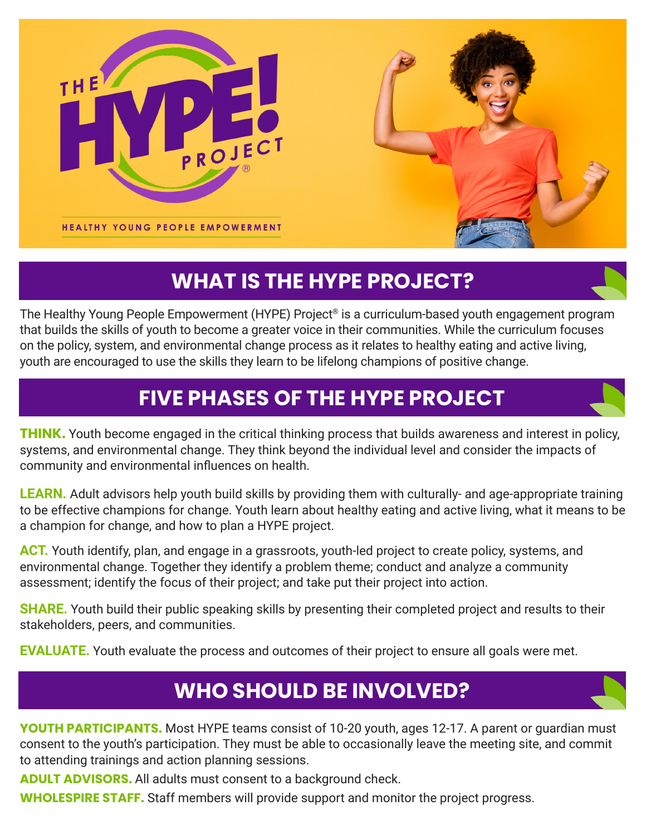



# **WHAT IS THE HYPE PROJECT?**

The Healthy Young People Empowerment (HYPE) Project® is a curriculum-based youth engagement program that builds the skills of youth to become a greater voice in their communities. While the curriculum focuses on the policy, system, and environmental change process as it relates to healthy eating and active living, youth are encouraged to use the skills they learn to be lifelong champions of positive change.

## **FIVE PHASES OF THE HYPE PROJECT**

**THINK.** Youth become engaged in the critical thinking process that builds awareness and interest in policy, systems, and environmental change. They think beyond the individual level and consider the impacts of community and environmental influences on health.

**LEARN.** Adult advisors help youth build skills by providing them with culturally- and age-appropriate training to be effective champions for change. Youth learn about healthy eating and active living, what it means to be a champion for change, and how to plan a HYPE project.

**ACT.** Youth identify, plan, and engage in a grassroots, youth-led project to create policy, systems, and environmental change. Together they identify a problem theme; conduct and analyze a community assessment; identify the focus of their project; and take put their project into action.

**SHARE.** Youth build their public speaking skills by presenting their completed project and results to their stakeholders, peers, and communities.

**EVALUATE.** Youth evaluate the process and outcomes of their project to ensure all goals were met.

### **WHO SHOULD BE INVOLVED?**

**YOUTH PARTICIPANTS.** Most HYPE teams consist of 10-20 youth, ages 12-17. A parent or quardian must consent to the youth's participation. They must be able to occasionally leave the meeting site, and commit to attending trainings and action planning sessions.

**ADULT ADVISORS.** All adults must consent to a background check.

**WHOLESPIRE STAFF.** Staff members will provide support and monitor the project progress.